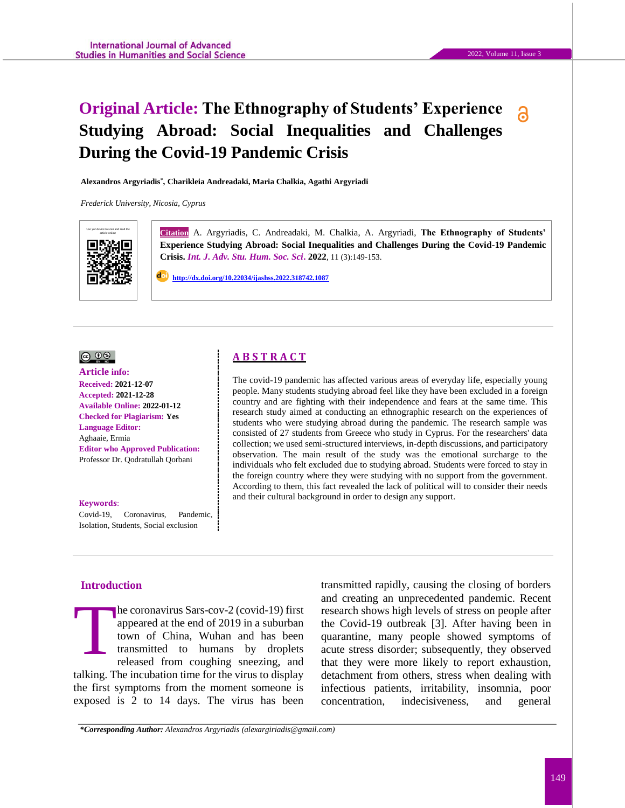# **Original Article: The Ethnography of Students' Experience**  ဥ **Studying Abroad: Social Inequalities and Challenges During the Covid-19 Pandemic Crisis**

**Alexandros Argyriadis\* , Charikleia Andreadaki, Maria Chalkia, Agathi Argyriadi**

*Frederick University, Nicosia, Cyprus*



Gitation A. Argyriadis, C. Andreadaki, M. Chalkia, A. Argyriadi, The Ethnography of Students' **Experience Studying Abroad: Social Inequalities and Challenges During the Covid-19 Pandemic Crisis.** *Int. J. Adv. Stu. Hum. Soc. Sci***. 2022**, 11 (3):149-153.

 **http://dx.doi.org/10.22034/ijashss.2022.318742.1087**

#### $\circledcirc$   $\circledcirc$

#### **Article info: Received: 2021-12-07 Accepted: 2021-12-28 Available Online: 2022-01-12 Checked for Plagiarism: Yes Language Editor:**  Aghaaie, Ermia **Editor who Approved Publication:**  [Professor Dr. Qodratullah Qorbani](http://www.ijashss.com/journal/editorial.board?edbc=8091)

#### **Keywords**:

Covid-19, Coronavirus, Pandemic, Isolation, Students, Social exclusion

# **A B S T R A C T**

The covid-19 pandemic has affected various areas of everyday life, especially young people. Many students studying abroad feel like they have been excluded in a foreign country and are fighting with their independence and fears at the same time. This research study aimed at conducting an ethnographic research on the experiences of students who were studying abroad during the pandemic. The research sample was consisted of 27 students from Greece who study in Cyprus. For the researchers' data collection; we used semi-structured interviews, in-depth discussions, and participatory observation. The main result of the study was the emotional surcharge to the individuals who felt excluded due to studying abroad. Students were forced to stay in the foreign country where they were studying with no support from the government. According to them, this fact revealed the lack of political will to consider their needs and their cultural background in order to design any support.

# **Introduction**

he coronavirus Sars-cov-2 (covid-19) first appeared at the end of 2019 in a suburban town of China, Wuhan and has been transmitted to humans by droplets released from coughing sneezing, and talking. The incubation time for the virus to display the first symptoms from the moment someone is exposed is 2 to 14 days. The virus has been T

transmitted rapidly, causing the closing of borders and creating an unprecedented pandemic. Recent research shows high levels of stress on people after the Covid-19 outbreak [3]. After having been in quarantine, many people showed symptoms of acute stress disorder; subsequently, they observed that they were more likely to report exhaustion, detachment from others, stress when dealing with infectious patients, irritability, insomnia, poor concentration, indecisiveness, and general

*\*Corresponding Author: Alexandros Argyriadis (alexargiriadis@gmail.com)*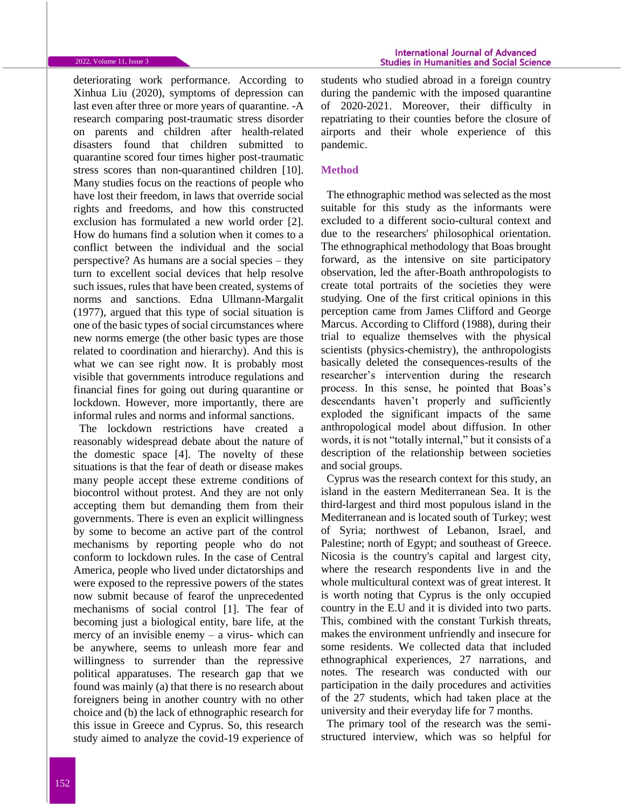#### 2022, Volume 11, Issue 3

deteriorating work performance. According to Xinhua Liu (2020), symptoms of depression can last even after three or more years of quarantine. -A research comparing post-traumatic stress disorder on parents and children after health-related disasters found that children submitted to quarantine scored four times higher post-traumatic stress scores than non-quarantined children [10]. Many studies focus on the reactions of people who have lost their freedom, in laws that override social rights and freedoms, and how this constructed exclusion has formulated a new world order [2]. How do humans find a solution when it comes to a conflict between the individual and the social perspective? As humans are a social species – they turn to excellent social devices that help resolve such issues, rules that have been created, systems of norms and sanctions. Edna Ullmann-Margalit (1977), argued that this type of social situation is one of the basic types of social circumstances where new norms emerge (the other basic types are those related to coordination and hierarchy). And this is what we can see right now. It is probably most visible that governments introduce regulations and financial fines for going out during quarantine or lockdown. However, more importantly, there are informal rules and norms and informal sanctions.

The lockdown restrictions have created a reasonably widespread debate about the nature of the domestic space [4]. The novelty of these situations is that the fear of death or disease makes many people accept these extreme conditions of biocontrol without protest. And they are not only accepting them but demanding them from their governments. There is even an explicit willingness by some to become an active part of the control mechanisms by reporting people who do not conform to lockdown rules. In the case of Central America, people who lived under dictatorships and were exposed to the repressive powers of the states now submit because of fearof the unprecedented mechanisms of social control [1]. The fear of becoming just a biological entity, bare life, at the mercy of an invisible enemy  $-$  a virus- which can be anywhere, seems to unleash more fear and willingness to surrender than the repressive political apparatuses. The research gap that we found was mainly (a) that there is no research about foreigners being in another country with no other choice and (b) the lack of ethnographic research for this issue in Greece and Cyprus. So, this research study aimed to analyze the covid-19 experience of students who studied abroad in a foreign country during the pandemic with the imposed quarantine of 2020-2021. Moreover, their difficulty in repatriating to their counties before the closure of airports and their whole experience of this pandemic.

#### **Method**

The ethnographic method was selected as the most suitable for this study as the informants were excluded to a different socio-cultural context and due to the researchers' philosophical orientation. The ethnographical methodology that Boas brought forward, as the intensive on site participatory observation, led the after-Boath anthropologists to create total portraits of the societies they were studying. One of the first critical opinions in this perception came from James Clifford and George Marcus. According to Clifford (1988), during their trial to equalize themselves with the physical scientists (physics-chemistry), the anthropologists basically deleted the consequences-results of the researcher's intervention during the research process. In this sense, he pointed that Boas's descendants haven't properly and sufficiently exploded the significant impacts of the same anthropological model about diffusion. In other words, it is not "totally internal," but it consists of a description of the relationship between societies and social groups.

Cyprus was the research context for this study, an island in the eastern Mediterranean Sea. It is the third-largest and third most populous island in the Mediterranean and is located south of Turkey; west of Syria; northwest of Lebanon, Israel, and Palestine; north of Egypt; and southeast of Greece. Nicosia is the country's capital and largest city, where the research respondents live in and the whole multicultural context was of great interest. It is worth noting that Cyprus is the only occupied country in the E.U and it is divided into two parts. This, combined with the constant Turkish threats, makes the environment unfriendly and insecure for some residents. We collected data that included ethnographical experiences, 27 narrations, and notes. The research was conducted with our participation in the daily procedures and activities of the 27 students, which had taken place at the university and their everyday life for 7 months.

The primary tool of the research was the semistructured interview, which was so helpful for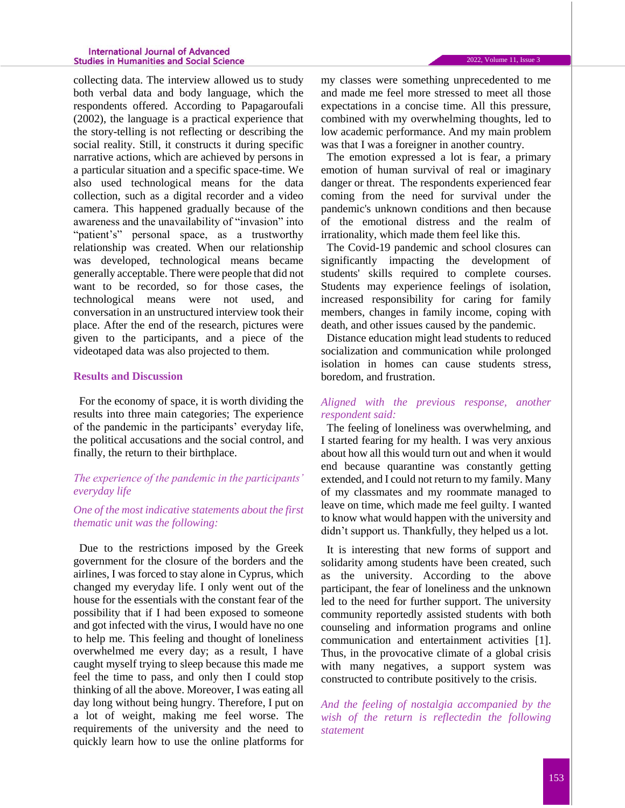#### **International Journal of Advanced Studies in Humanities and Social Science**

collecting data. The interview allowed us to study both verbal data and body language, which the respondents offered. According to Papagaroufali (2002), the language is a practical experience that the story-telling is not reflecting or describing the social reality. Still, it constructs it during specific narrative actions, which are achieved by persons in a particular situation and a specific space-time. We also used technological means for the data collection, such as a digital recorder and a video camera. This happened gradually because of the awareness and the unavailability of "invasion" into "patient's" personal space, as a trustworthy relationship was created. When our relationship was developed, technological means became generally acceptable. There were people that did not want to be recorded, so for those cases, the technological means were not used, and conversation in an unstructured interview took their place. After the end of the research, pictures were given to the participants, and a piece of the videotaped data was also projected to them.

### **Results and Discussion**

For the economy of space, it is worth dividing the results into three main categories; The experience of the pandemic in the participants' everyday life, the political accusations and the social control, and finally, the return to their birthplace.

### *The experience of the pandemic in the participants' everyday life*

## *One of the most indicative statements about the first thematic unit was the following:*

Due to the restrictions imposed by the Greek government for the closure of the borders and the airlines, I was forced to stay alone in Cyprus, which changed my everyday life. I only went out of the house for the essentials with the constant fear of the possibility that if I had been exposed to someone and got infected with the virus, I would have no one to help me. This feeling and thought of loneliness overwhelmed me every day; as a result, I have caught myself trying to sleep because this made me feel the time to pass, and only then I could stop thinking of all the above. Moreover, I was eating all day long without being hungry. Therefore, I put on a lot of weight, making me feel worse. The requirements of the university and the need to quickly learn how to use the online platforms for my classes were something unprecedented to me and made me feel more stressed to meet all those expectations in a concise time. All this pressure, combined with my overwhelming thoughts, led to low academic performance. And my main problem was that I was a foreigner in another country*.*

The emotion expressed a lot is fear, a primary emotion of human survival of real or imaginary danger or threat. The respondents experienced fear coming from the need for survival under the pandemic's unknown conditions and then because of the emotional distress and the realm of irrationality, which made them feel like this.

The Covid-19 pandemic and school closures can significantly impacting the development of students' skills required to complete courses. Students may experience feelings of isolation, increased responsibility for caring for family members, changes in family income, coping with death, and other issues caused by the pandemic.

Distance education might lead students to reduced socialization and communication while prolonged isolation in homes can cause students stress, boredom, and frustration.

### *Aligned with the previous response, another respondent said:*

The feeling of loneliness was overwhelming, and I started fearing for my health. I was very anxious about how all this would turn out and when it would end because quarantine was constantly getting extended, and I could not return to my family. Many of my classmates and my roommate managed to leave on time, which made me feel guilty. I wanted to know what would happen with the university and didn't support us. Thankfully, they helped us a lot.

It is interesting that new forms of support and solidarity among students have been created, such as the university. According to the above participant, the fear of loneliness and the unknown led to the need for further support. The university community reportedly assisted students with both counseling and information programs and online communication and entertainment activities [1]. Thus, in the provocative climate of a global crisis with many negatives, a support system was constructed to contribute positively to the crisis.

*And the feeling of nostalgia accompanied by the wish of the return is reflectedin the following statement*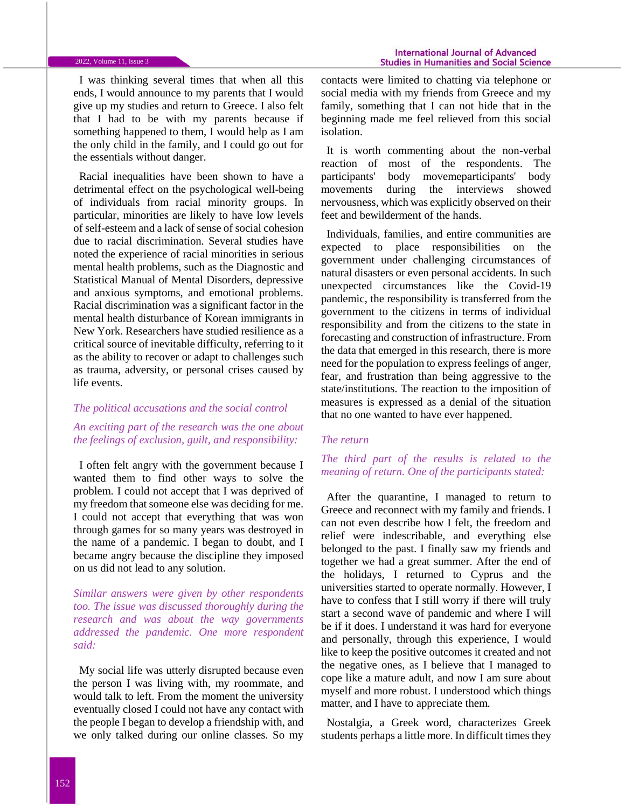I was thinking several times that when all this ends, I would announce to my parents that I would give up my studies and return to Greece. I also felt that I had to be with my parents because if something happened to them, I would help as I am the only child in the family, and I could go out for the essentials without danger.

Racial inequalities have been shown to have a detrimental effect on the psychological well-being of individuals from racial minority groups. In particular, minorities are likely to have low levels of self-esteem and a lack of sense of social cohesion due to racial discrimination. Several studies have noted the experience of racial minorities in serious mental health problems, such as the Diagnostic and Statistical Manual of Mental Disorders, depressive and anxious symptoms, and emotional problems. Racial discrimination was a significant factor in the mental health disturbance of Korean immigrants in New York. Researchers have studied resilience as a critical source of inevitable difficulty, referring to it as the ability to recover or adapt to challenges such as trauma, adversity, or personal crises caused by life events.

### *The political accusations and the social control*

# *An exciting part of the research was the one about the feelings of exclusion, guilt, and responsibility:*

I often felt angry with the government because I wanted them to find other ways to solve the problem. I could not accept that I was deprived of my freedom that someone else was deciding for me. I could not accept that everything that was won through games for so many years was destroyed in the name of a pandemic. I began to doubt, and I became angry because the discipline they imposed on us did not lead to any solution.

*Similar answers were given by other respondents too. The issue was discussed thoroughly during the research and was about the way governments addressed the pandemic. One more respondent said:*

My social life was utterly disrupted because even the person I was living with, my roommate, and would talk to left. From the moment the university eventually closed I could not have any contact with the people I began to develop a friendship with, and we only talked during our online classes. So my contacts were limited to chatting via telephone or social media with my friends from Greece and my family, something that I can not hide that in the beginning made me feel relieved from this social isolation.

It is worth commenting about the non-verbal reaction of most of the respondents. The participants' body movemeparticipants' body movements during the interviews showed nervousness, which was explicitly observed on their feet and bewilderment of the hands.

Individuals, families, and entire communities are expected to place responsibilities on the government under challenging circumstances of natural disasters or even personal accidents. In such unexpected circumstances like the Covid-19 pandemic, the responsibility is transferred from the government to the citizens in terms of individual responsibility and from the citizens to the state in forecasting and construction of infrastructure. From the data that emerged in this research, there is more need for the population to express feelings of anger, fear, and frustration than being aggressive to the state/institutions. The reaction to the imposition of measures is expressed as a denial of the situation that no one wanted to have ever happened.

### *The return*

# *The third part of the results is related to the meaning of return. One of the participants stated:*

After the quarantine, I managed to return to Greece and reconnect with my family and friends. I can not even describe how I felt, the freedom and relief were indescribable, and everything else belonged to the past. I finally saw my friends and together we had a great summer. After the end of the holidays, I returned to Cyprus and the universities started to operate normally. However, I have to confess that I still worry if there will truly start a second wave of pandemic and where I will be if it does. I understand it was hard for everyone and personally, through this experience, I would like to keep the positive outcomes it created and not the negative ones, as I believe that I managed to cope like a mature adult, and now I am sure about myself and more robust. I understood which things matter, and I have to appreciate them*.* 

Nostalgia, a Greek word, characterizes Greek students perhaps a little more. In difficult times they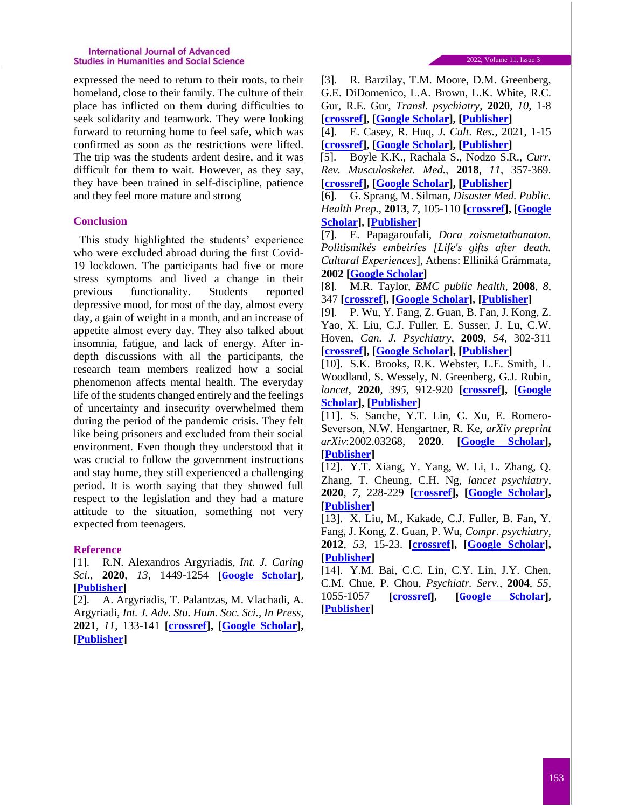expressed the need to return to their roots, to their homeland, close to their family. The culture of their place has inflicted on them during difficulties to seek solidarity and teamwork. They were looking forward to returning home to feel safe, which was confirmed as soon as the restrictions were lifted. The trip was the students ardent desire, and it was difficult for them to wait. However, as they say, they have been trained in self-discipline, patience and they feel more mature and strong

# **Conclusion**

This study highlighted the students' experience who were excluded abroad during the first Covid-19 lockdown. The participants had five or more stress symptoms and lived a change in their previous functionality. Students reported depressive mood, for most of the day, almost every day, a gain of weight in a month, and an increase of appetite almost every day. They also talked about insomnia, fatigue, and lack of energy. After indepth discussions with all the participants, the research team members realized how a social phenomenon affects mental health. The everyday life of the students changed entirely and the feelings of uncertainty and insecurity overwhelmed them during the period of the pandemic crisis. They felt like being prisoners and excluded from their social environment. Even though they understood that it was crucial to follow the government instructions and stay home, they still experienced a challenging period. It is worth saying that they showed full respect to the legislation and they had a mature attitude to the situation, something not very expected from teenagers.

# **Reference**

[1]. R.N. Alexandros Argyriadis, *Int. J. Caring Sci.*, **2020**, *13*, 1449-1254 **[\[Google Scholar\]](https://scholar.google.com/scholar?hl=en&as_sdt=0%2C5&q=Socio-Cultural+Discrimination+and+the+Role+of+Media+in+the+Case+of+the+Coronavirus%3A+Anthropological+and+Psychological+Notes+through+a+Case+Study&btnG=), [\[Publisher\]](https://www.researchgate.net/profile/Alexandros-Argyriadis/publication/341180602_Socio-cultural_discrimination_and_the_role_of_media_in_the_case_of_the_coronavirus_Anthropological_and_psychological_notes_through_a_case_study/links/5f64828792851c14bc840ef9/Socio-cultural-discrimination-and-the-role-of-media-in-the-case-of-the-coronavirus-Anthropological-and-psychological-notes-through-a-case-study.pdf)**

[2]. A. Argyriadis, T. Palantzas, M. Vlachadi, A. Argyriadi, *Int. J. Adv. Stu. Hum. Soc. Sci., In Press*, **2021**, *11*, 133-141 **[\[crossref\]](https://dx.doi.org/10.22034/IJASHSS.2022.2.7), [\[Google Scholar\]](https://scholar.google.com/scholar?hl=en&as_sdt=0%2C5&q=Effect+of+Dance+on+Holistic+Development+of+Culturally+Diverse+Communities&btnG=), [\[Publisher\]](http://www.ijashss.com/article_142764.html)**

[3]. R. Barzilay, T.M. Moore, D.M. Greenberg, G.E. DiDomenico, L.A. Brown, L.K. White, R.C. Gur, R.E. Gur, *Transl. psychiatry*, **2020**, *10*, 1-8 **[\[crossref\]](https://doi.org/10.1038/s41398-020-00982-4), [\[Google Scholar\]](https://scholar.google.com/scholar?hl=en&as_sdt=0%2C5&q=Resilience%2C+COVID-19-related+stress%2C+anxiety+and+depression+during+the+pandemic+in+a+large+population+enriched+for+healthcare+providers&btnG=), [\[Publisher\]](https://www.nature.com/articles/s41398-020-00982-4)**

[4]. E. Casey, R. Huq, *J. Cult. Res.*, 2021, 1-15 **[\[crossref\]](https://doi.org/10.1080/14797585.2021.1989315), [\[Google Scholar\]](https://scholar.google.com/scholar?hl=en&as_sdt=0%2C5&q=Biscuits+and+unicorns%3A+shifting+meanings+of+domestic+space+in+a+post-lockdown+world&btnG=), [\[Publisher\]](https://www.tandfonline.com/doi/full/10.1080/14797585.2021.1989315)**

[5]. Boyle K.K., Rachala S., Nodzo S.R., *Curr. Rev. Musculoskelet. Med.,* **2018**, *11*, 357-369. **[\[crossref\]](https://doi.org/10.1007/s12178-018-9498-8), [\[Google Scholar\]](https://scholar.google.com/scholar?hl=en&as_sdt=0%2C5&q=Centers+for+Disease+Control+and+Prevention+2017+Guidelines+for+Prevention+of+Surgical+Site+Infections%3A+Review+and+Relevant+Recommendations&btnG=), [\[Publisher\]](https://link.springer.com/article/10.1007/s12178-018-9498-8)**

[6]. G. Sprang, M. Silman, *Disaster Med. Public. Health Prep.,* **2013**, *7*, 105-110 **[\[crossref\]](https://doi.org/10.1017/dmp.2013.22), [\[Google](https://scholar.google.com/scholar?hl=en&as_sdt=0%2C5&q=Posttraumatic+Stress+Disorder+in+Parents+and+Youth+After+Health-Related+Disasters&btnG=)  [Scholar\]](https://scholar.google.com/scholar?hl=en&as_sdt=0%2C5&q=Posttraumatic+Stress+Disorder+in+Parents+and+Youth+After+Health-Related+Disasters&btnG=), [\[Publisher\]](https://www.cambridge.org/core/journals/disaster-medicine-and-public-health-preparedness/article/abs/posttraumatic-stress-disorder-in-parents-and-youth-after-healthrelated-disasters/4F3E4300F74CEEAFA8EE95E490944888)**

[7]. E. Papagaroufali, *Dora zoismetathanaton. Politismikés embeiríes [Life's gifts after death. Cultural Experiences*], Athens: Elliniká Grámmata, **2002 [\[Google Scholar\]](https://scholar.google.com/scholar?hl=en&as_sdt=0%2C5&q=+E.+Papagaroufali%2C+Dora+zoismetathanaton.+Politismik%C3%A9s+embeir%C3%ADes+%5BLife%27s+gifts+after+death.+Cultural+Experiences%5D%2C+Athens%3A+Ellinik%C3%A1+Gr%C3%A1mmata%2C+2002+&btnG=)**

[8]. M.R. Taylor, *BMC public health,* **2008**, *8*, 347 **[\[crossref\]](https://doi.org/10.1186/1471-2458-8-347), [\[Google Scholar\]](https://scholar.google.com/scholar?hl=en&as_sdt=0%2C5&q=Factors+influencing+psychological+distress+during+a+disease+epidemic%3A+Data+from+Australia%27s+first+outbreak+of+equine+influenza&btnG=), [\[Publisher\]](https://bmcpublichealth.biomedcentral.com/articles/10.1186/1471-2458-8-347?source=content_type%3Areact%7Cfirst_level_url%3Aarticle%7Csection%3Amain_content%7Cbutton%3Abody_link#citeas)**

[9]. P. Wu, Y. Fang, Z. Guan, B. Fan, J. Kong, Z. Yao, X. Liu, C.J. Fuller, E. Susser, J. Lu, C.W. Hoven, *Can. J. Psychiatry*, **2009**, *54*, 302-311 **[\[crossref\]](https://doi.org/10.1177%2F070674370905400504), [\[Google Scholar\]](https://scholar.google.com/scholar?hl=en&as_sdt=0%2C5&q=The+Psychological+Impact+of+the+SARS+Epidemic+on+Hospital+Employees+in+China%3A+Exposure%2C+Risk+Perception%2C+and+Altruistic+Acceptance+of+Risk&btnG=), [\[Publisher\]](https://journals.sagepub.com/doi/abs/10.1177/070674370905400504)**

[10]. S.K. Brooks, R.K. Webster, L.E. Smith, L. Woodland, S. Wessely, N. Greenberg, G.J. Rubin, *lancet*, **2020**, *395*, 912-920 **[\[crossref\]](https://doi.org/10.1016/S0140-6736(20)30460-8), [\[Google](https://scholar.google.com/scholar?hl=en&as_sdt=0%2C5&q=The+psychological+impact+of+quarantine+and+how+to+reduce+it%3A+rapid+review+of+the+evidence&btnG=)  [Scholar\]](https://scholar.google.com/scholar?hl=en&as_sdt=0%2C5&q=The+psychological+impact+of+quarantine+and+how+to+reduce+it%3A+rapid+review+of+the+evidence&btnG=), [\[Publisher\]](https://www.sciencedirect.com/science/article/pii/S0140673620304608)**

[11]. S. Sanche, Y.T. Lin, C. Xu, E. Romero-Severson, N.W. Hengartner, R. Ke, *arXiv preprint arXiv*:2002.03268, **2020**. **[\[Google Scholar\]](https://scholar.google.com/scholar?hl=en&as_sdt=0%2C5&q=The+Novel+Coronavirus%2C+2019-nCoV%2C+is+Highly+Contagious+and+More+Infectious+Than+Initially+Estimated&btnG=), [\[Publisher\]](https://arxiv.org/abs/2002.03268)**

[12]. Y.T. Xiang, Y. Yang, W. Li, L. Zhang, Q. Zhang, T. Cheung, C.H. Ng, *lancet psychiatry*, **2020**, *7*, 228-229 **[\[crossref\]](https://doi.org/10.1016/S2215-0366(20)30046-8), [\[Google Scholar\]](https://scholar.google.com/scholar?hl=en&as_sdt=0%2C5&q=Timely+mental+health+care+for+the+2019+novel+coronavirus+outbreak+is+urgently+needed&btnG=), [\[Publisher\]](https://www.thelancet.com/journals/lanpsy/article/PIIS2215-0366(20)30046-8/fulltext?rss=yes&utm_source=dlvr.it&utm_medium=twitter)**

[13]. X. Liu, M., Kakade, C.J. Fuller, B. Fan, Y. Fang, J. Kong, Z. Guan, P. Wu, *Compr. psychiatry*, **2012**, *53*, 15-23. **[\[crossref\]](https://doi.org/10.1016/j.comppsych.2011.02.003), [\[Google Scholar\]](https://scholar.google.com/scholar?hl=en&as_sdt=0%2C5&q=Depression+after+exposure+to+stressful+events%3A+lessons+learned+from+the+severe+acute+respiratory+syndrome+epidemic&btnG=), [\[Publisher\]](https://www.sciencedirect.com/science/article/pii/S0010440X11000216)**

[14]. Y.M. Bai, C.C. Lin, C.Y. Lin, J.Y. Chen, C.M. Chue, P. Chou, *Psychiatr. Serv.*, **2004**, *55*, 1055-1057 **[\[crossref\]](https://doi.org/10.1176/appi.ps.55.9.1055), [\[Google Scholar\]](https://scholar.google.com/scholar?hl=en&as_sdt=0%2C5&q=Survey+of+Stress+Reactions+Among+Health+Care+Workers+Involved+With+the+SARS+Outbreak&btnG=), [\[Publisher\]](https://ps.psychiatryonline.org/doi/full/10.1176/appi.ps.55.9.1055)**